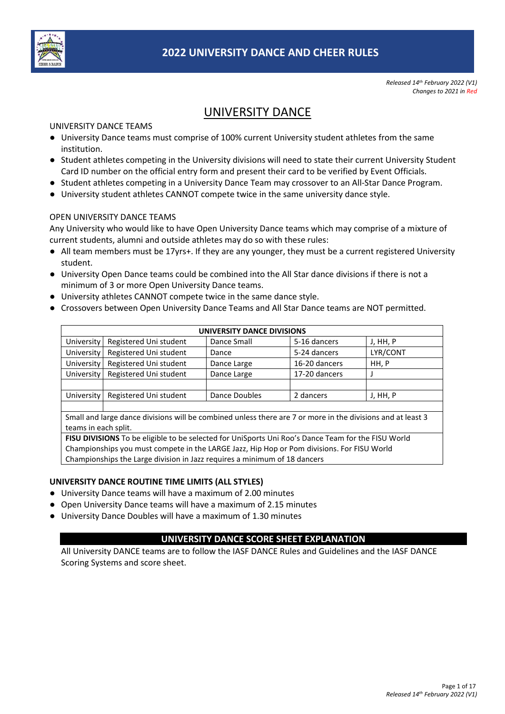

*Released 14th February 2022 (V1) Changes to 2021 in Red*

# UNIVERSITY DANCE

UNIVERSITY DANCE TEAMS

- University Dance teams must comprise of 100% current University student athletes from the same institution.
- Student athletes competing in the University divisions will need to state their current University Student Card ID number on the official entry form and present their card to be verified by Event Officials.
- Student athletes competing in a University Dance Team may crossover to an All-Star Dance Program.
- University student athletes CANNOT compete twice in the same university dance style.

## OPEN UNIVERSITY DANCE TEAMS

Any University who would like to have Open University Dance teams which may comprise of a mixture of current students, alumni and outside athletes may do so with these rules:

- All team members must be 17yrs+. If they are any younger, they must be a current registered University student.
- University Open Dance teams could be combined into the All Star dance divisions if there is not a minimum of 3 or more Open University Dance teams.
- University athletes CANNOT compete twice in the same dance style.
- Crossovers between Open University Dance Teams and All Star Dance teams are NOT permitted.

| UNIVERSITY DANCE DIVISIONS |                        |               |               |          |  |  |  |  |  |  |
|----------------------------|------------------------|---------------|---------------|----------|--|--|--|--|--|--|
| University                 | Registered Uni student | Dance Small   | 5-16 dancers  | J, HH, P |  |  |  |  |  |  |
| <b>University</b>          | Registered Uni student | Dance         | 5-24 dancers  | LYR/CONT |  |  |  |  |  |  |
| University                 | Registered Uni student | Dance Large   | 16-20 dancers | HH, P    |  |  |  |  |  |  |
| University                 | Registered Uni student | Dance Large   | 17-20 dancers |          |  |  |  |  |  |  |
|                            |                        |               |               |          |  |  |  |  |  |  |
| <b>University</b>          | Registered Uni student | Dance Doubles | 2 dancers     | J, HH, P |  |  |  |  |  |  |
|                            |                        |               |               |          |  |  |  |  |  |  |

Small and large dance divisions will be combined unless there are 7 or more in the divisions and at least 3 teams in each split.

**FISU DIVISIONS** To be eligible to be selected for UniSports Uni Roo's Dance Team for the FISU World Championships you must compete in the LARGE Jazz, Hip Hop or Pom divisions. For FISU World Championships the Large division in Jazz requires a minimum of 18 dancers

#### **UNIVERSITY DANCE ROUTINE TIME LIMITS (ALL STYLES)**

- University Dance teams will have a maximum of 2.00 minutes
- Open University Dance teams will have a maximum of 2.15 minutes
- University Dance Doubles will have a maximum of 1.30 minutes

## **UNIVERSITY DANCE SCORE SHEET EXPLANATION**

All University DANCE teams are to follow the IASF DANCE Rules and Guidelines and the IASF DANCE Scoring Systems and score sheet.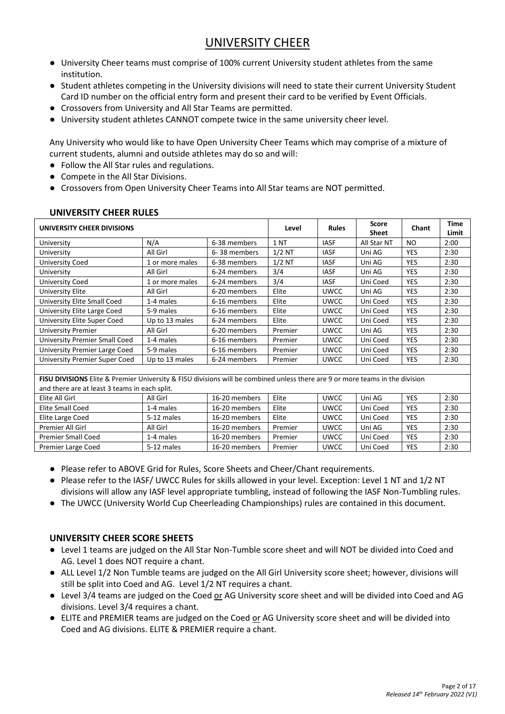# UNIVERSITY CHEER

- University Cheer teams must comprise of 100% current University student athletes from the same institution.
- Student athletes competing in the University divisions will need to state their current University Student Card ID number on the official entry form and present their card to be verified by Event Officials.
- Crossovers from University and All Star Teams are permitted.
- University student athletes CANNOT compete twice in the same university cheer level.

Any University who would like to have Open University Cheer Teams which may comprise of a mixture of current students, alumni and outside athletes may do so and will:

- Follow the All Star rules and regulations.
- Compete in the All Star Divisions.
- Crossovers from Open University Cheer Teams into All Star teams are NOT permitted.

| UNIVERSITY CHEER DIVISIONS                                                                                                   | Level           | <b>Rules</b>  | <b>Score</b><br><b>Sheet</b> | Chant       | Time<br>Limit |            |      |  |  |  |  |
|------------------------------------------------------------------------------------------------------------------------------|-----------------|---------------|------------------------------|-------------|---------------|------------|------|--|--|--|--|
| University                                                                                                                   | N/A             | 6-38 members  | <b>1 NT</b>                  | <b>IASF</b> | All Star NT   | NO.        | 2:00 |  |  |  |  |
| University                                                                                                                   | All Girl        | 6-38 members  | $1/2$ NT                     | <b>IASF</b> | Uni AG        | <b>YES</b> | 2:30 |  |  |  |  |
| University Coed                                                                                                              | 1 or more males | 6-38 members  | $1/2$ NT                     | <b>IASF</b> | Uni AG        | <b>YES</b> | 2:30 |  |  |  |  |
| University                                                                                                                   | All Girl        | 6-24 members  | 3/4                          | <b>IASF</b> | Uni AG        | <b>YES</b> | 2:30 |  |  |  |  |
| <b>University Coed</b>                                                                                                       | 1 or more males | 6-24 members  | 3/4                          | <b>IASF</b> | Uni Coed      | <b>YES</b> | 2:30 |  |  |  |  |
| University Elite                                                                                                             | All Girl        | 6-20 members  | Elite                        | <b>UWCC</b> | Uni AG        | <b>YES</b> | 2:30 |  |  |  |  |
| University Elite Small Coed                                                                                                  | 1-4 males       | 6-16 members  | Elite                        | <b>UWCC</b> | Uni Coed      | <b>YES</b> | 2:30 |  |  |  |  |
| University Elite Large Coed                                                                                                  | 5-9 males       | 6-16 members  | Elite                        | <b>UWCC</b> | Uni Coed      | <b>YES</b> | 2:30 |  |  |  |  |
| University Elite Super Coed                                                                                                  | Up to 13 males  | 6-24 members  | Elite                        | <b>UWCC</b> | Uni Coed      | <b>YES</b> | 2:30 |  |  |  |  |
| University Premier                                                                                                           | All Girl        | 6-20 members  | Premier                      | <b>UWCC</b> | Uni AG        | <b>YES</b> | 2:30 |  |  |  |  |
| University Premier Small Coed                                                                                                | 1-4 males       | 6-16 members  | Premier                      | <b>UWCC</b> | Uni Coed      | <b>YES</b> | 2:30 |  |  |  |  |
| University Premier Large Coed                                                                                                | 5-9 males       | 6-16 members  | Premier                      | <b>UWCC</b> | Uni Coed      | <b>YES</b> | 2:30 |  |  |  |  |
| University Premier Super Coed                                                                                                | Up to 13 males  | 6-24 members  | Premier                      | <b>UWCC</b> | Uni Coed      | <b>YES</b> | 2:30 |  |  |  |  |
|                                                                                                                              |                 |               |                              |             |               |            |      |  |  |  |  |
| FISU DIVISIONS Elite & Premier University & FISU divisions will be combined unless there are 9 or more teams in the division |                 |               |                              |             |               |            |      |  |  |  |  |
| and there are at least 3 teams in each split.                                                                                |                 |               |                              |             |               |            |      |  |  |  |  |
| Elite All Girl                                                                                                               | All Girl        | 16-20 members | Elite                        | <b>UWCC</b> | Uni AG        | <b>YES</b> | 2:30 |  |  |  |  |
| <b>Elite Small Coed</b>                                                                                                      | 1-4 males       | 16-20 members | Elite                        | <b>UWCC</b> | Uni Coed      | <b>YES</b> | 2:30 |  |  |  |  |
| Elite Large Coed                                                                                                             | 5-12 males      | 16-20 members | Elite                        | <b>UWCC</b> | Uni Coed      | YES        | 2:30 |  |  |  |  |

#### **UNIVERSITY CHEER RULES**

● Please refer to ABOVE Grid for Rules, Score Sheets and Cheer/Chant requirements.

- Please refer to the IASF/ UWCC Rules for skills allowed in your level. Exception: Level 1 NT and 1/2 NT divisions will allow any IASF level appropriate tumbling, instead of following the IASF Non-Tumbling rules.
- The UWCC (University World Cup Cheerleading Championships) rules are contained in this document.

Premier All Girl All Girl 16-20 members Premier UWCC Uni AG YES 2:30 Premier Small Coed 1-4 males 16-20 members Premier UWCC Uni Coed YES 2:30 Premier Large Coed 15-12 males 16-20 members Premier UWCC Uni Coed YES 2:30

## **UNIVERSITY CHEER SCORE SHEETS**

- Level 1 teams are judged on the All Star Non-Tumble score sheet and will NOT be divided into Coed and AG. Level 1 does NOT require a chant.
- ALL Level 1/2 Non Tumble teams are judged on the All Girl University score sheet; however, divisions will still be split into Coed and AG. Level 1/2 NT requires a chant.
- Level 3/4 teams are judged on the Coed or AG University score sheet and will be divided into Coed and AG divisions. Level 3/4 requires a chant.
- ELITE and PREMIER teams are judged on the Coed or AG University score sheet and will be divided into Coed and AG divisions. ELITE & PREMIER require a chant.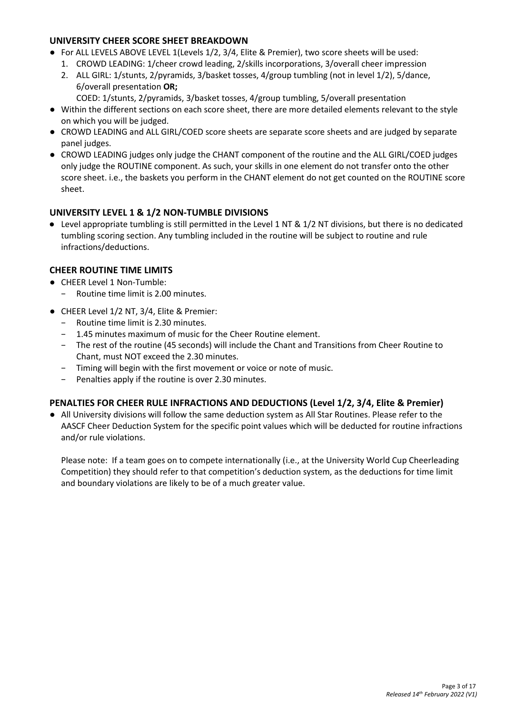# **UNIVERSITY CHEER SCORE SHEET BREAKDOWN**

- For ALL LEVELS ABOVE LEVEL 1(Levels 1/2, 3/4, Elite & Premier), two score sheets will be used:
	- 1. CROWD LEADING: 1/cheer crowd leading, 2/skills incorporations, 3/overall cheer impression
	- 2. ALL GIRL: 1/stunts, 2/pyramids, 3/basket tosses, 4/group tumbling (not in level 1/2), 5/dance, 6/overall presentation **OR;**
		- COED: 1/stunts, 2/pyramids, 3/basket tosses, 4/group tumbling, 5/overall presentation
- Within the different sections on each score sheet, there are more detailed elements relevant to the style on which you will be judged.
- CROWD LEADING and ALL GIRL/COED score sheets are separate score sheets and are judged by separate panel judges.
- CROWD LEADING judges only judge the CHANT component of the routine and the ALL GIRL/COED judges only judge the ROUTINE component. As such, your skills in one element do not transfer onto the other score sheet. i.e., the baskets you perform in the CHANT element do not get counted on the ROUTINE score sheet.

## **UNIVERSITY LEVEL 1 & 1/2 NON-TUMBLE DIVISIONS**

● Level appropriate tumbling is still permitted in the Level 1 NT & 1/2 NT divisions, but there is no dedicated tumbling scoring section. Any tumbling included in the routine will be subject to routine and rule infractions/deductions.

## **CHEER ROUTINE TIME LIMITS**

- CHEER Level 1 Non-Tumble:
	- − Routine time limit is 2.00 minutes.
- CHEER Level 1/2 NT, 3/4, Elite & Premier:
	- − Routine time limit is 2.30 minutes.
	- − 1.45 minutes maximum of music for the Cheer Routine element.
	- − The rest of the routine (45 seconds) will include the Chant and Transitions from Cheer Routine to Chant, must NOT exceed the 2.30 minutes.
	- − Timing will begin with the first movement or voice or note of music.
	- Penalties apply if the routine is over 2.30 minutes.

## **PENALTIES FOR CHEER RULE INFRACTIONS AND DEDUCTIONS (Level 1/2, 3/4, Elite & Premier)**

● All University divisions will follow the same deduction system as All Star Routines. Please refer to the AASCF Cheer Deduction System for the specific point values which will be deducted for routine infractions and/or rule violations.

Please note: If a team goes on to compete internationally (i.e., at the University World Cup Cheerleading Competition) they should refer to that competition's deduction system, as the deductions for time limit and boundary violations are likely to be of a much greater value.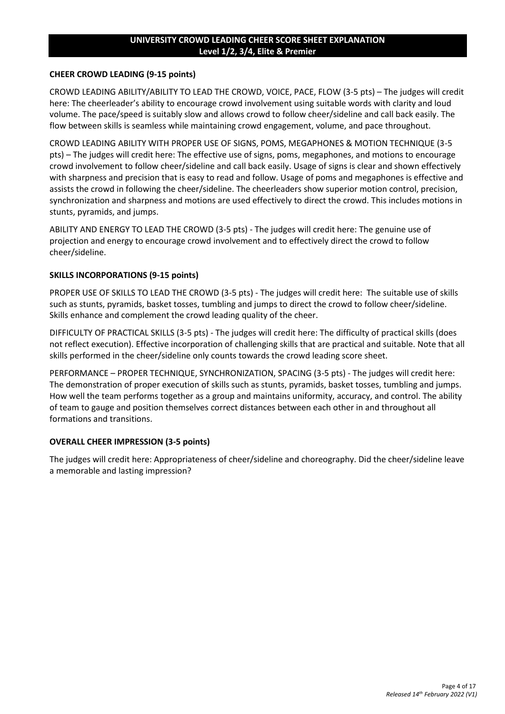#### **UNIVERSITY CROWD LEADING CHEER SCORE SHEET EXPLANATION Level 1/2, 3/4, Elite & Premier**

#### **CHEER CROWD LEADING (9-15 points)**

CROWD LEADING ABILITY/ABILITY TO LEAD THE CROWD, VOICE, PACE, FLOW (3-5 pts) – The judges will credit here: The cheerleader's ability to encourage crowd involvement using suitable words with clarity and loud volume. The pace/speed is suitably slow and allows crowd to follow cheer/sideline and call back easily. The flow between skills is seamless while maintaining crowd engagement, volume, and pace throughout.

CROWD LEADING ABILITY WITH PROPER USE OF SIGNS, POMS, MEGAPHONES & MOTION TECHNIQUE (3-5 pts) – The judges will credit here: The effective use of signs, poms, megaphones, and motions to encourage crowd involvement to follow cheer/sideline and call back easily. Usage of signs is clear and shown effectively with sharpness and precision that is easy to read and follow. Usage of poms and megaphones is effective and assists the crowd in following the cheer/sideline. The cheerleaders show superior motion control, precision, synchronization and sharpness and motions are used effectively to direct the crowd. This includes motions in stunts, pyramids, and jumps.

ABILITY AND ENERGY TO LEAD THE CROWD (3-5 pts) - The judges will credit here: The genuine use of projection and energy to encourage crowd involvement and to effectively direct the crowd to follow cheer/sideline.

### **SKILLS INCORPORATIONS (9-15 points)**

PROPER USE OF SKILLS TO LEAD THE CROWD (3-5 pts) - The judges will credit here: The suitable use of skills such as stunts, pyramids, basket tosses, tumbling and jumps to direct the crowd to follow cheer/sideline. Skills enhance and complement the crowd leading quality of the cheer.

DIFFICULTY OF PRACTICAL SKILLS (3-5 pts) - The judges will credit here: The difficulty of practical skills (does not reflect execution). Effective incorporation of challenging skills that are practical and suitable. Note that all skills performed in the cheer/sideline only counts towards the crowd leading score sheet.

PERFORMANCE – PROPER TECHNIQUE, SYNCHRONIZATION, SPACING (3-5 pts) - The judges will credit here: The demonstration of proper execution of skills such as stunts, pyramids, basket tosses, tumbling and jumps. How well the team performs together as a group and maintains uniformity, accuracy, and control. The ability of team to gauge and position themselves correct distances between each other in and throughout all formations and transitions.

#### **OVERALL CHEER IMPRESSION (3-5 points)**

The judges will credit here: Appropriateness of cheer/sideline and choreography. Did the cheer/sideline leave a memorable and lasting impression?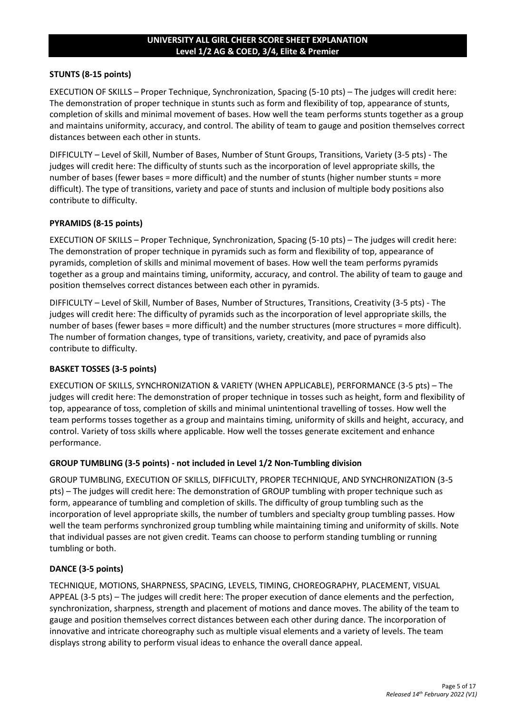### **UNIVERSITY ALL GIRL CHEER SCORE SHEET EXPLANATION Level 1/2 AG & COED, 3/4, Elite & Premier**

#### **STUNTS (8-15 points)**

EXECUTION OF SKILLS – Proper Technique, Synchronization, Spacing (5-10 pts) – The judges will credit here: The demonstration of proper technique in stunts such as form and flexibility of top, appearance of stunts, completion of skills and minimal movement of bases. How well the team performs stunts together as a group and maintains uniformity, accuracy, and control. The ability of team to gauge and position themselves correct distances between each other in stunts.

DIFFICULTY – Level of Skill, Number of Bases, Number of Stunt Groups, Transitions, Variety (3-5 pts) - The judges will credit here: The difficulty of stunts such as the incorporation of level appropriate skills, the number of bases (fewer bases = more difficult) and the number of stunts (higher number stunts = more difficult). The type of transitions, variety and pace of stunts and inclusion of multiple body positions also contribute to difficulty.

#### **PYRAMIDS (8-15 points)**

EXECUTION OF SKILLS – Proper Technique, Synchronization, Spacing (5-10 pts) – The judges will credit here: The demonstration of proper technique in pyramids such as form and flexibility of top, appearance of pyramids, completion of skills and minimal movement of bases. How well the team performs pyramids together as a group and maintains timing, uniformity, accuracy, and control. The ability of team to gauge and position themselves correct distances between each other in pyramids.

DIFFICULTY – Level of Skill, Number of Bases, Number of Structures, Transitions, Creativity (3-5 pts) - The judges will credit here: The difficulty of pyramids such as the incorporation of level appropriate skills, the number of bases (fewer bases = more difficult) and the number structures (more structures = more difficult). The number of formation changes, type of transitions, variety, creativity, and pace of pyramids also contribute to difficulty.

#### **BASKET TOSSES (3-5 points)**

EXECUTION OF SKILLS, SYNCHRONIZATION & VARIETY (WHEN APPLICABLE), PERFORMANCE (3-5 pts) – The judges will credit here: The demonstration of proper technique in tosses such as height, form and flexibility of top, appearance of toss, completion of skills and minimal unintentional travelling of tosses. How well the team performs tosses together as a group and maintains timing, uniformity of skills and height, accuracy, and control. Variety of toss skills where applicable. How well the tosses generate excitement and enhance performance.

#### **GROUP TUMBLING (3-5 points) - not included in Level 1/2 Non-Tumbling division**

GROUP TUMBLING, EXECUTION OF SKILLS, DIFFICULTY, PROPER TECHNIQUE, AND SYNCHRONIZATION (3-5 pts) – The judges will credit here: The demonstration of GROUP tumbling with proper technique such as form, appearance of tumbling and completion of skills. The difficulty of group tumbling such as the incorporation of level appropriate skills, the number of tumblers and specialty group tumbling passes. How well the team performs synchronized group tumbling while maintaining timing and uniformity of skills. Note that individual passes are not given credit. Teams can choose to perform standing tumbling or running tumbling or both.

#### **DANCE (3-5 points)**

TECHNIQUE, MOTIONS, SHARPNESS, SPACING, LEVELS, TIMING, CHOREOGRAPHY, PLACEMENT, VISUAL APPEAL (3-5 pts) – The judges will credit here: The proper execution of dance elements and the perfection, synchronization, sharpness, strength and placement of motions and dance moves. The ability of the team to gauge and position themselves correct distances between each other during dance. The incorporation of innovative and intricate choreography such as multiple visual elements and a variety of levels. The team displays strong ability to perform visual ideas to enhance the overall dance appeal.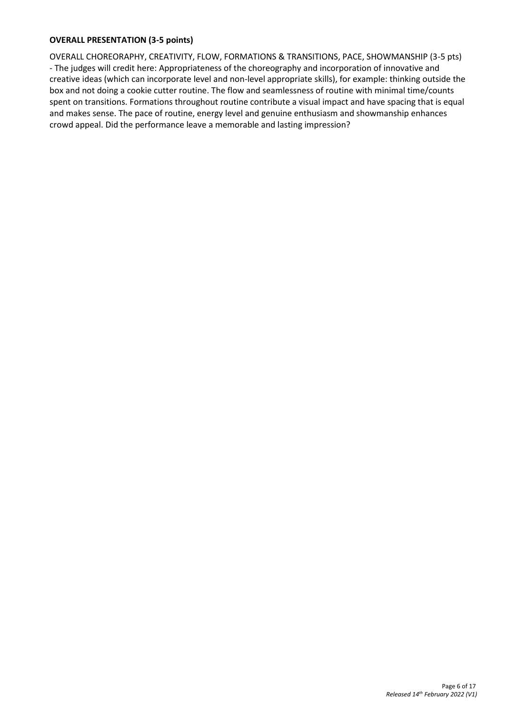# **OVERALL PRESENTATION (3-5 points)**

OVERALL CHOREORAPHY, CREATIVITY, FLOW, FORMATIONS & TRANSITIONS, PACE, SHOWMANSHIP (3-5 pts) - The judges will credit here: Appropriateness of the choreography and incorporation of innovative and creative ideas (which can incorporate level and non-level appropriate skills), for example: thinking outside the box and not doing a cookie cutter routine. The flow and seamlessness of routine with minimal time/counts spent on transitions. Formations throughout routine contribute a visual impact and have spacing that is equal and makes sense. The pace of routine, energy level and genuine enthusiasm and showmanship enhances crowd appeal. Did the performance leave a memorable and lasting impression?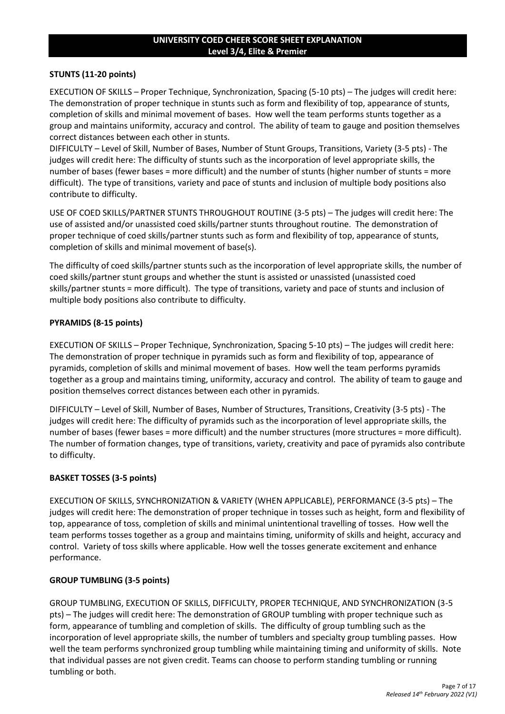### **UNIVERSITY COED CHEER SCORE SHEET EXPLANATION Level 3/4, Elite & Premier**

### **STUNTS (11-20 points)**

EXECUTION OF SKILLS – Proper Technique, Synchronization, Spacing (5-10 pts) – The judges will credit here: The demonstration of proper technique in stunts such as form and flexibility of top, appearance of stunts, completion of skills and minimal movement of bases. How well the team performs stunts together as a group and maintains uniformity, accuracy and control. The ability of team to gauge and position themselves correct distances between each other in stunts.

DIFFICULTY – Level of Skill, Number of Bases, Number of Stunt Groups, Transitions, Variety (3-5 pts) - The judges will credit here: The difficulty of stunts such as the incorporation of level appropriate skills, the number of bases (fewer bases = more difficult) and the number of stunts (higher number of stunts = more difficult). The type of transitions, variety and pace of stunts and inclusion of multiple body positions also contribute to difficulty.

USE OF COED SKILLS/PARTNER STUNTS THROUGHOUT ROUTINE (3-5 pts) – The judges will credit here: The use of assisted and/or unassisted coed skills/partner stunts throughout routine. The demonstration of proper technique of coed skills/partner stunts such as form and flexibility of top, appearance of stunts, completion of skills and minimal movement of base(s).

The difficulty of coed skills/partner stunts such as the incorporation of level appropriate skills, the number of coed skills/partner stunt groups and whether the stunt is assisted or unassisted (unassisted coed skills/partner stunts = more difficult). The type of transitions, variety and pace of stunts and inclusion of multiple body positions also contribute to difficulty.

## **PYRAMIDS (8-15 points)**

EXECUTION OF SKILLS – Proper Technique, Synchronization, Spacing 5-10 pts) – The judges will credit here: The demonstration of proper technique in pyramids such as form and flexibility of top, appearance of pyramids, completion of skills and minimal movement of bases. How well the team performs pyramids together as a group and maintains timing, uniformity, accuracy and control. The ability of team to gauge and position themselves correct distances between each other in pyramids.

DIFFICULTY – Level of Skill, Number of Bases, Number of Structures, Transitions, Creativity (3-5 pts) - The judges will credit here: The difficulty of pyramids such as the incorporation of level appropriate skills, the number of bases (fewer bases = more difficult) and the number structures (more structures = more difficult). The number of formation changes, type of transitions, variety, creativity and pace of pyramids also contribute to difficulty.

#### **BASKET TOSSES (3-5 points)**

EXECUTION OF SKILLS, SYNCHRONIZATION & VARIETY (WHEN APPLICABLE), PERFORMANCE (3-5 pts) – The judges will credit here: The demonstration of proper technique in tosses such as height, form and flexibility of top, appearance of toss, completion of skills and minimal unintentional travelling of tosses. How well the team performs tosses together as a group and maintains timing, uniformity of skills and height, accuracy and control. Variety of toss skills where applicable. How well the tosses generate excitement and enhance performance.

#### **GROUP TUMBLING (3-5 points)**

GROUP TUMBLING, EXECUTION OF SKILLS, DIFFICULTY, PROPER TECHNIQUE, AND SYNCHRONIZATION (3-5 pts) – The judges will credit here: The demonstration of GROUP tumbling with proper technique such as form, appearance of tumbling and completion of skills. The difficulty of group tumbling such as the incorporation of level appropriate skills, the number of tumblers and specialty group tumbling passes. How well the team performs synchronized group tumbling while maintaining timing and uniformity of skills. Note that individual passes are not given credit. Teams can choose to perform standing tumbling or running tumbling or both.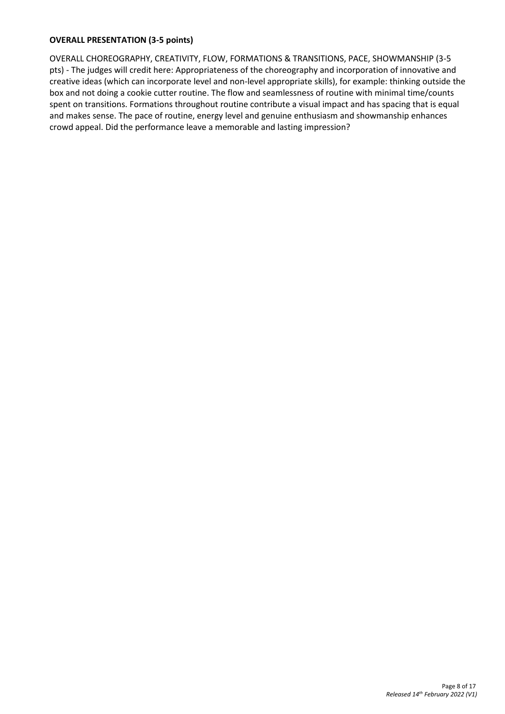#### **OVERALL PRESENTATION (3-5 points)**

OVERALL CHOREOGRAPHY, CREATIVITY, FLOW, FORMATIONS & TRANSITIONS, PACE, SHOWMANSHIP (3-5 pts) - The judges will credit here: Appropriateness of the choreography and incorporation of innovative and creative ideas (which can incorporate level and non-level appropriate skills), for example: thinking outside the box and not doing a cookie cutter routine. The flow and seamlessness of routine with minimal time/counts spent on transitions. Formations throughout routine contribute a visual impact and has spacing that is equal and makes sense. The pace of routine, energy level and genuine enthusiasm and showmanship enhances crowd appeal. Did the performance leave a memorable and lasting impression?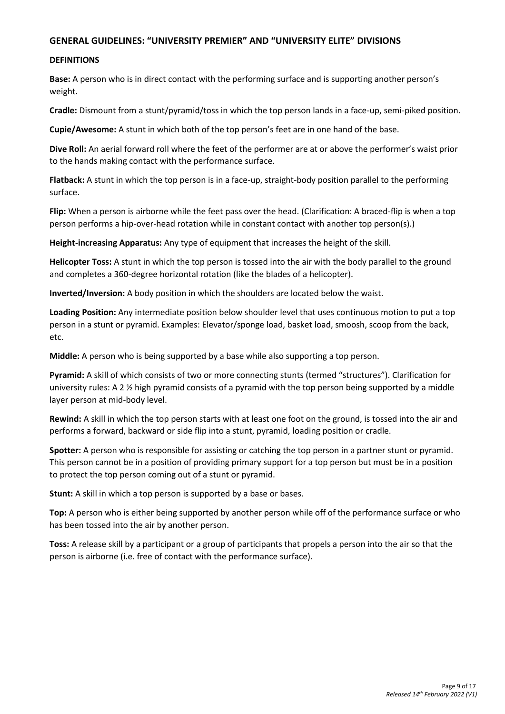## **GENERAL GUIDELINES: "UNIVERSITY PREMIER" AND "UNIVERSITY ELITE" DIVISIONS**

#### **DEFINITIONS**

**Base:** A person who is in direct contact with the performing surface and is supporting another person's weight.

**Cradle:** Dismount from a stunt/pyramid/toss in which the top person lands in a face-up, semi-piked position.

**Cupie/Awesome:** A stunt in which both of the top person's feet are in one hand of the base.

**Dive Roll:** An aerial forward roll where the feet of the performer are at or above the performer's waist prior to the hands making contact with the performance surface.

**Flatback:** A stunt in which the top person is in a face-up, straight-body position parallel to the performing surface.

**Flip:** When a person is airborne while the feet pass over the head. (Clarification: A braced-flip is when a top person performs a hip-over-head rotation while in constant contact with another top person(s).)

**Height-increasing Apparatus:** Any type of equipment that increases the height of the skill.

**Helicopter Toss:** A stunt in which the top person is tossed into the air with the body parallel to the ground and completes a 360-degree horizontal rotation (like the blades of a helicopter).

**Inverted/Inversion:** A body position in which the shoulders are located below the waist.

**Loading Position:** Any intermediate position below shoulder level that uses continuous motion to put a top person in a stunt or pyramid. Examples: Elevator/sponge load, basket load, smoosh, scoop from the back, etc.

**Middle:** A person who is being supported by a base while also supporting a top person.

**Pyramid:** A skill of which consists of two or more connecting stunts (termed "structures"). Clarification for university rules: A 2 ½ high pyramid consists of a pyramid with the top person being supported by a middle layer person at mid-body level.

**Rewind:** A skill in which the top person starts with at least one foot on the ground, is tossed into the air and performs a forward, backward or side flip into a stunt, pyramid, loading position or cradle.

**Spotter:** A person who is responsible for assisting or catching the top person in a partner stunt or pyramid. This person cannot be in a position of providing primary support for a top person but must be in a position to protect the top person coming out of a stunt or pyramid.

**Stunt:** A skill in which a top person is supported by a base or bases.

**Top:** A person who is either being supported by another person while off of the performance surface or who has been tossed into the air by another person.

**Toss:** A release skill by a participant or a group of participants that propels a person into the air so that the person is airborne (i.e. free of contact with the performance surface).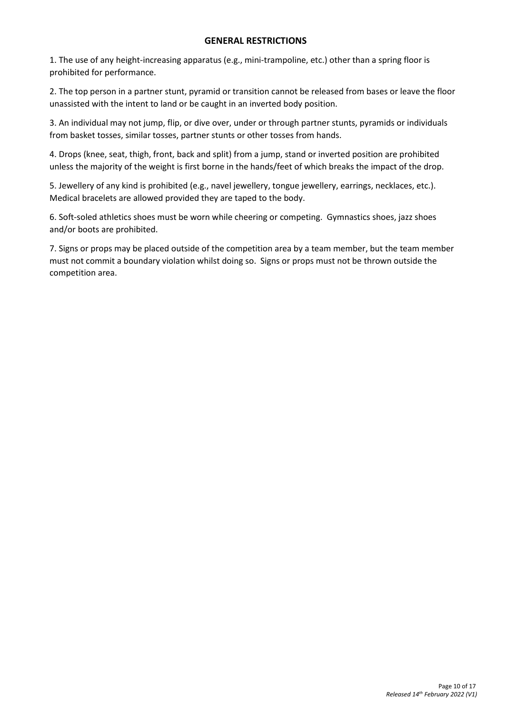## **GENERAL RESTRICTIONS**

1. The use of any height-increasing apparatus (e.g., mini-trampoline, etc.) other than a spring floor is prohibited for performance.

2. The top person in a partner stunt, pyramid or transition cannot be released from bases or leave the floor unassisted with the intent to land or be caught in an inverted body position.

3. An individual may not jump, flip, or dive over, under or through partner stunts, pyramids or individuals from basket tosses, similar tosses, partner stunts or other tosses from hands.

4. Drops (knee, seat, thigh, front, back and split) from a jump, stand or inverted position are prohibited unless the majority of the weight is first borne in the hands/feet of which breaks the impact of the drop.

5. Jewellery of any kind is prohibited (e.g., navel jewellery, tongue jewellery, earrings, necklaces, etc.). Medical bracelets are allowed provided they are taped to the body.

6. Soft-soled athletics shoes must be worn while cheering or competing. Gymnastics shoes, jazz shoes and/or boots are prohibited.

7. Signs or props may be placed outside of the competition area by a team member, but the team member must not commit a boundary violation whilst doing so. Signs or props must not be thrown outside the competition area.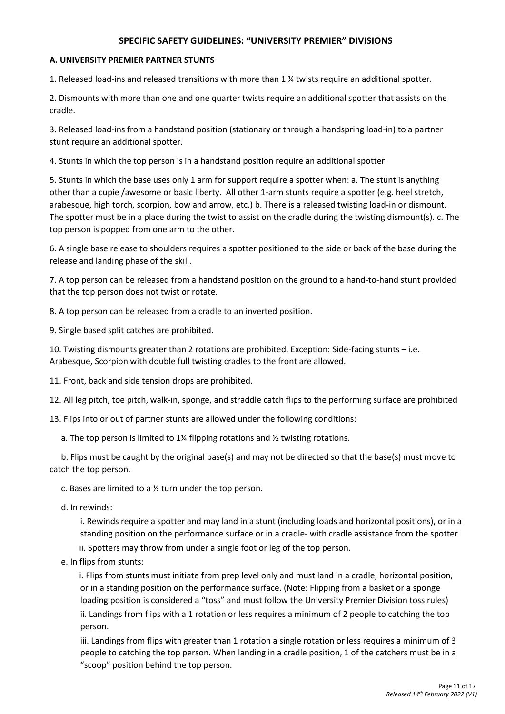## **SPECIFIC SAFETY GUIDELINES: "UNIVERSITY PREMIER" DIVISIONS**

### **A. UNIVERSITY PREMIER PARTNER STUNTS**

1. Released load-ins and released transitions with more than 1 ¼ twists require an additional spotter.

2. Dismounts with more than one and one quarter twists require an additional spotter that assists on the cradle.

3. Released load-ins from a handstand position (stationary or through a handspring load-in) to a partner stunt require an additional spotter.

4. Stunts in which the top person is in a handstand position require an additional spotter.

5. Stunts in which the base uses only 1 arm for support require a spotter when: a. The stunt is anything other than a cupie /awesome or basic liberty. All other 1-arm stunts require a spotter (e.g. heel stretch, arabesque, high torch, scorpion, bow and arrow, etc.) b. There is a released twisting load-in or dismount. The spotter must be in a place during the twist to assist on the cradle during the twisting dismount(s). c. The top person is popped from one arm to the other.

6. A single base release to shoulders requires a spotter positioned to the side or back of the base during the release and landing phase of the skill.

7. A top person can be released from a handstand position on the ground to a hand-to-hand stunt provided that the top person does not twist or rotate.

8. A top person can be released from a cradle to an inverted position.

9. Single based split catches are prohibited.

10. Twisting dismounts greater than 2 rotations are prohibited. Exception: Side-facing stunts – i.e. Arabesque, Scorpion with double full twisting cradles to the front are allowed.

11. Front, back and side tension drops are prohibited.

12. All leg pitch, toe pitch, walk-in, sponge, and straddle catch flips to the performing surface are prohibited

13. Flips into or out of partner stunts are allowed under the following conditions:

a. The top person is limited to 1¼ flipping rotations and ½ twisting rotations.

b. Flips must be caught by the original base(s) and may not be directed so that the base(s) must move to catch the top person.

c. Bases are limited to a ½ turn under the top person.

d. In rewinds:

i. Rewinds require a spotter and may land in a stunt (including loads and horizontal positions), or in a standing position on the performance surface or in a cradle- with cradle assistance from the spotter.

ii. Spotters may throw from under a single foot or leg of the top person.

e. In flips from stunts:

i. Flips from stunts must initiate from prep level only and must land in a cradle, horizontal position, or in a standing position on the performance surface. (Note: Flipping from a basket or a sponge loading position is considered a "toss" and must follow the University Premier Division toss rules) ii. Landings from flips with a 1 rotation or less requires a minimum of 2 people to catching the top person.

iii. Landings from flips with greater than 1 rotation a single rotation or less requires a minimum of 3 people to catching the top person. When landing in a cradle position, 1 of the catchers must be in a "scoop" position behind the top person.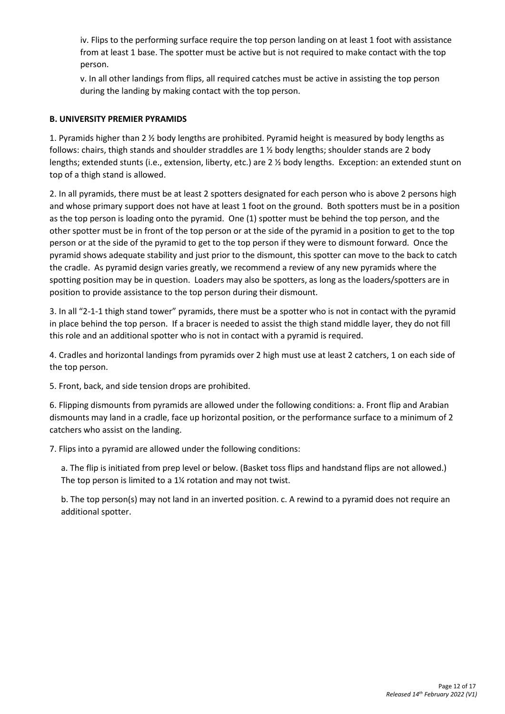iv. Flips to the performing surface require the top person landing on at least 1 foot with assistance from at least 1 base. The spotter must be active but is not required to make contact with the top person.

v. In all other landings from flips, all required catches must be active in assisting the top person during the landing by making contact with the top person.

## **B. UNIVERSITY PREMIER PYRAMIDS**

1. Pyramids higher than 2 ½ body lengths are prohibited. Pyramid height is measured by body lengths as follows: chairs, thigh stands and shoulder straddles are 1 ½ body lengths; shoulder stands are 2 body lengths; extended stunts (i.e., extension, liberty, etc.) are 2 ½ body lengths. Exception: an extended stunt on top of a thigh stand is allowed.

2. In all pyramids, there must be at least 2 spotters designated for each person who is above 2 persons high and whose primary support does not have at least 1 foot on the ground. Both spotters must be in a position as the top person is loading onto the pyramid. One (1) spotter must be behind the top person, and the other spotter must be in front of the top person or at the side of the pyramid in a position to get to the top person or at the side of the pyramid to get to the top person if they were to dismount forward. Once the pyramid shows adequate stability and just prior to the dismount, this spotter can move to the back to catch the cradle. As pyramid design varies greatly, we recommend a review of any new pyramids where the spotting position may be in question. Loaders may also be spotters, as long as the loaders/spotters are in position to provide assistance to the top person during their dismount.

3. In all "2-1-1 thigh stand tower" pyramids, there must be a spotter who is not in contact with the pyramid in place behind the top person. If a bracer is needed to assist the thigh stand middle layer, they do not fill this role and an additional spotter who is not in contact with a pyramid is required.

4. Cradles and horizontal landings from pyramids over 2 high must use at least 2 catchers, 1 on each side of the top person.

5. Front, back, and side tension drops are prohibited.

6. Flipping dismounts from pyramids are allowed under the following conditions: a. Front flip and Arabian dismounts may land in a cradle, face up horizontal position, or the performance surface to a minimum of 2 catchers who assist on the landing.

7. Flips into a pyramid are allowed under the following conditions:

a. The flip is initiated from prep level or below. (Basket toss flips and handstand flips are not allowed.) The top person is limited to a 1¼ rotation and may not twist.

b. The top person(s) may not land in an inverted position. c. A rewind to a pyramid does not require an additional spotter.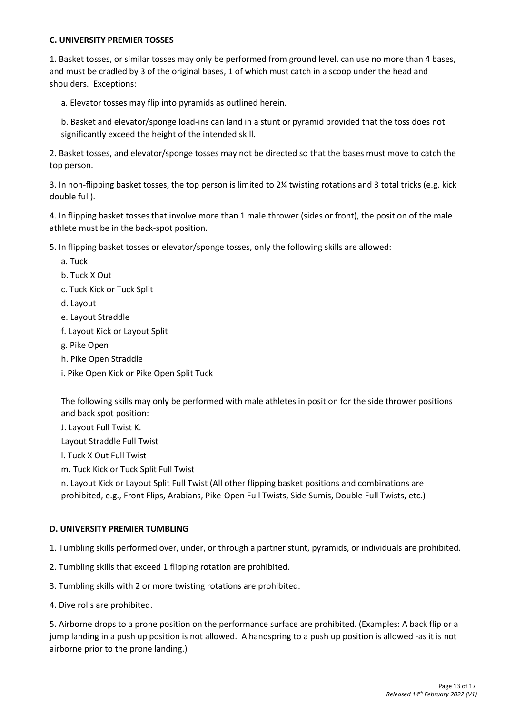## **C. UNIVERSITY PREMIER TOSSES**

1. Basket tosses, or similar tosses may only be performed from ground level, can use no more than 4 bases, and must be cradled by 3 of the original bases, 1 of which must catch in a scoop under the head and shoulders. Exceptions:

a. Elevator tosses may flip into pyramids as outlined herein.

b. Basket and elevator/sponge load-ins can land in a stunt or pyramid provided that the toss does not significantly exceed the height of the intended skill.

2. Basket tosses, and elevator/sponge tosses may not be directed so that the bases must move to catch the top person.

3. In non-flipping basket tosses, the top person is limited to 2¼ twisting rotations and 3 total tricks (e.g. kick double full).

4. In flipping basket tosses that involve more than 1 male thrower (sides or front), the position of the male athlete must be in the back-spot position.

5. In flipping basket tosses or elevator/sponge tosses, only the following skills are allowed:

- a. Tuck
- b. Tuck X Out
- c. Tuck Kick or Tuck Split
- d. Layout
- e. Layout Straddle
- f. Layout Kick or Layout Split
- g. Pike Open
- h. Pike Open Straddle
- i. Pike Open Kick or Pike Open Split Tuck

The following skills may only be performed with male athletes in position for the side thrower positions and back spot position:

J. Layout Full Twist K.

Layout Straddle Full Twist

l. Tuck X Out Full Twist

m. Tuck Kick or Tuck Split Full Twist

n. Layout Kick or Layout Split Full Twist (All other flipping basket positions and combinations are prohibited, e.g., Front Flips, Arabians, Pike-Open Full Twists, Side Sumis, Double Full Twists, etc.)

#### **D. UNIVERSITY PREMIER TUMBLING**

- 1. Tumbling skills performed over, under, or through a partner stunt, pyramids, or individuals are prohibited.
- 2. Tumbling skills that exceed 1 flipping rotation are prohibited.
- 3. Tumbling skills with 2 or more twisting rotations are prohibited.
- 4. Dive rolls are prohibited.

5. Airborne drops to a prone position on the performance surface are prohibited. (Examples: A back flip or a jump landing in a push up position is not allowed. A handspring to a push up position is allowed -as it is not airborne prior to the prone landing.)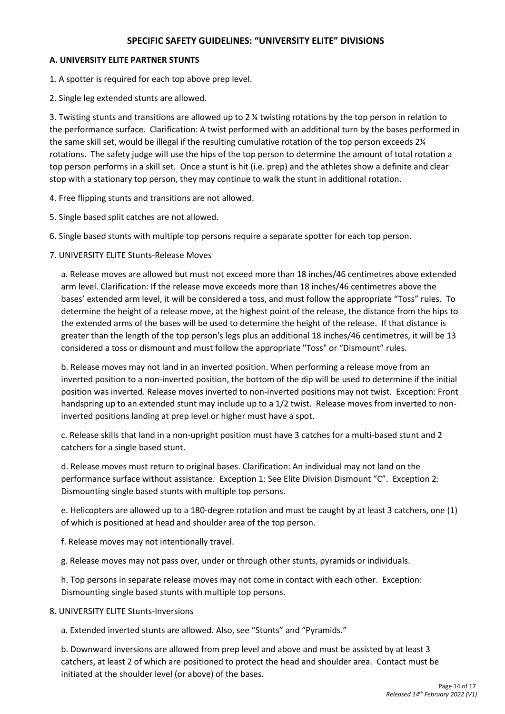## **SPECIFIC SAFETY GUIDELINES: "UNIVERSITY ELITE" DIVISIONS**

### **A. UNIVERSITY ELITE PARTNER STUNTS**

1. A spotter is required for each top above prep level.

2. Single leg extended stunts are allowed.

3. Twisting stunts and transitions are allowed up to 2 ¼ twisting rotations by the top person in relation to the performance surface. Clarification: A twist performed with an additional turn by the bases performed in the same skill set, would be illegal if the resulting cumulative rotation of the top person exceeds 2¼ rotations. The safety judge will use the hips of the top person to determine the amount of total rotation a top person performs in a skill set. Once a stunt is hit (i.e. prep) and the athletes show a definite and clear stop with a stationary top person, they may continue to walk the stunt in additional rotation.

4. Free flipping stunts and transitions are not allowed.

- 5. Single based split catches are not allowed.
- 6. Single based stunts with multiple top persons require a separate spotter for each top person.
- 7. UNIVERSITY ELITE Stunts-Release Moves

a. Release moves are allowed but must not exceed more than 18 inches/46 centimetres above extended arm level. Clarification: If the release move exceeds more than 18 inches/46 centimetres above the bases' extended arm level, it will be considered a toss, and must follow the appropriate "Toss" rules. To determine the height of a release move, at the highest point of the release, the distance from the hips to the extended arms of the bases will be used to determine the height of the release. If that distance is greater than the length of the top person's legs plus an additional 18 inches/46 centimetres, it will be 13 considered a toss or dismount and must follow the appropriate "Toss" or "Dismount" rules.

b. Release moves may not land in an inverted position. When performing a release move from an inverted position to a non-inverted position, the bottom of the dip will be used to determine if the initial position was inverted. Release moves inverted to non-inverted positions may not twist. Exception: Front handspring up to an extended stunt may include up to a 1/2 twist. Release moves from inverted to noninverted positions landing at prep level or higher must have a spot.

c. Release skills that land in a non-upright position must have 3 catches for a multi-based stunt and 2 catchers for a single based stunt.

d. Release moves must return to original bases. Clarification: An individual may not land on the performance surface without assistance. Exception 1: See Elite Division Dismount "C". Exception 2: Dismounting single based stunts with multiple top persons.

e. Helicopters are allowed up to a 180-degree rotation and must be caught by at least 3 catchers, one (1) of which is positioned at head and shoulder area of the top person.

f. Release moves may not intentionally travel.

g. Release moves may not pass over, under or through other stunts, pyramids or individuals.

h. Top persons in separate release moves may not come in contact with each other. Exception: Dismounting single based stunts with multiple top persons.

8. UNIVERSITY ELITE Stunts-Inversions

a. Extended inverted stunts are allowed. Also, see "Stunts" and "Pyramids."

b. Downward inversions are allowed from prep level and above and must be assisted by at least 3 catchers, at least 2 of which are positioned to protect the head and shoulder area. Contact must be initiated at the shoulder level (or above) of the bases.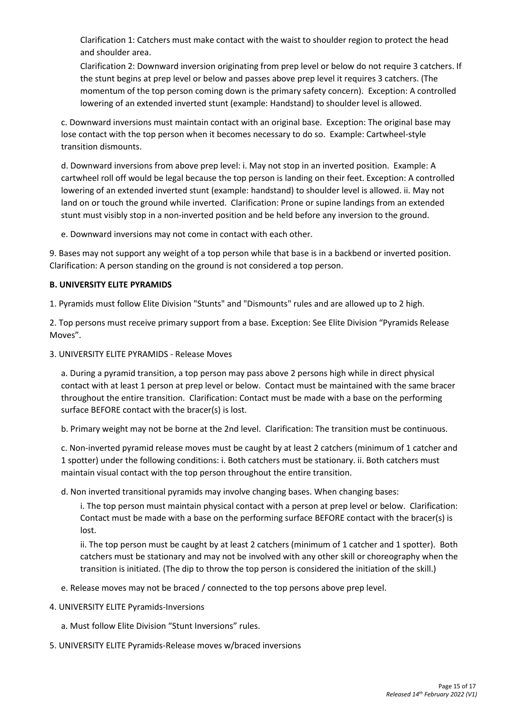Clarification 1: Catchers must make contact with the waist to shoulder region to protect the head and shoulder area.

Clarification 2: Downward inversion originating from prep level or below do not require 3 catchers. If the stunt begins at prep level or below and passes above prep level it requires 3 catchers. (The momentum of the top person coming down is the primary safety concern). Exception: A controlled lowering of an extended inverted stunt (example: Handstand) to shoulder level is allowed.

c. Downward inversions must maintain contact with an original base. Exception: The original base may lose contact with the top person when it becomes necessary to do so. Example: Cartwheel-style transition dismounts.

d. Downward inversions from above prep level: i. May not stop in an inverted position. Example: A cartwheel roll off would be legal because the top person is landing on their feet. Exception: A controlled lowering of an extended inverted stunt (example: handstand) to shoulder level is allowed. ii. May not land on or touch the ground while inverted. Clarification: Prone or supine landings from an extended stunt must visibly stop in a non-inverted position and be held before any inversion to the ground.

e. Downward inversions may not come in contact with each other.

9. Bases may not support any weight of a top person while that base is in a backbend or inverted position. Clarification: A person standing on the ground is not considered a top person.

#### **B. UNIVERSITY ELITE PYRAMIDS**

1. Pyramids must follow Elite Division "Stunts" and "Dismounts" rules and are allowed up to 2 high.

2. Top persons must receive primary support from a base. Exception: See Elite Division "Pyramids Release Moves".

3. UNIVERSITY ELITE PYRAMIDS - Release Moves

a. During a pyramid transition, a top person may pass above 2 persons high while in direct physical contact with at least 1 person at prep level or below. Contact must be maintained with the same bracer throughout the entire transition. Clarification: Contact must be made with a base on the performing surface BEFORE contact with the bracer(s) is lost.

b. Primary weight may not be borne at the 2nd level. Clarification: The transition must be continuous.

c. Non-inverted pyramid release moves must be caught by at least 2 catchers (minimum of 1 catcher and 1 spotter) under the following conditions: i. Both catchers must be stationary. ii. Both catchers must maintain visual contact with the top person throughout the entire transition.

d. Non inverted transitional pyramids may involve changing bases. When changing bases:

i. The top person must maintain physical contact with a person at prep level or below. Clarification: Contact must be made with a base on the performing surface BEFORE contact with the bracer(s) is lost.

ii. The top person must be caught by at least 2 catchers (minimum of 1 catcher and 1 spotter). Both catchers must be stationary and may not be involved with any other skill or choreography when the transition is initiated. (The dip to throw the top person is considered the initiation of the skill.)

- e. Release moves may not be braced / connected to the top persons above prep level.
- 4. UNIVERSITY ELITE Pyramids-Inversions
	- a. Must follow Elite Division "Stunt Inversions" rules.
- 5. UNIVERSITY ELITE Pyramids-Release moves w/braced inversions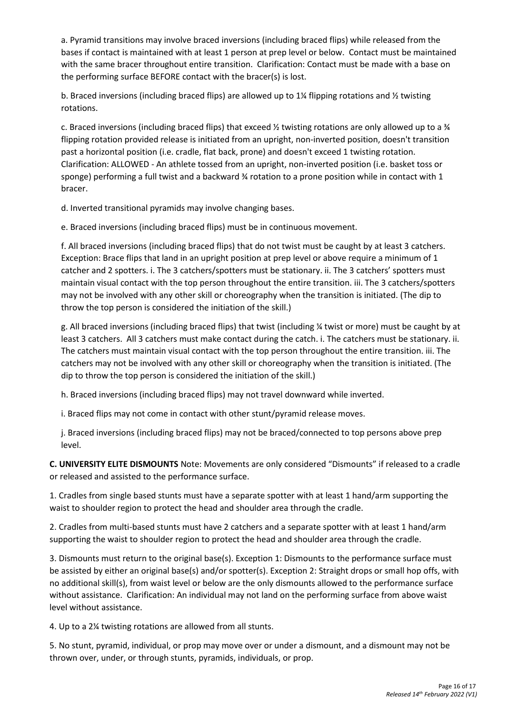a. Pyramid transitions may involve braced inversions (including braced flips) while released from the bases if contact is maintained with at least 1 person at prep level or below. Contact must be maintained with the same bracer throughout entire transition. Clarification: Contact must be made with a base on the performing surface BEFORE contact with the bracer(s) is lost.

b. Braced inversions (including braced flips) are allowed up to 1¼ flipping rotations and ½ twisting rotations.

c. Braced inversions (including braced flips) that exceed  $\frac{1}{2}$  twisting rotations are only allowed up to a  $\frac{1}{4}$ flipping rotation provided release is initiated from an upright, non-inverted position, doesn't transition past a horizontal position (i.e. cradle, flat back, prone) and doesn't exceed 1 twisting rotation. Clarification: ALLOWED - An athlete tossed from an upright, non-inverted position (i.e. basket toss or sponge) performing a full twist and a backward % rotation to a prone position while in contact with 1 bracer.

d. Inverted transitional pyramids may involve changing bases.

e. Braced inversions (including braced flips) must be in continuous movement.

f. All braced inversions (including braced flips) that do not twist must be caught by at least 3 catchers. Exception: Brace flips that land in an upright position at prep level or above require a minimum of 1 catcher and 2 spotters. i. The 3 catchers/spotters must be stationary. ii. The 3 catchers' spotters must maintain visual contact with the top person throughout the entire transition. iii. The 3 catchers/spotters may not be involved with any other skill or choreography when the transition is initiated. (The dip to throw the top person is considered the initiation of the skill.)

g. All braced inversions (including braced flips) that twist (including ¼ twist or more) must be caught by at least 3 catchers. All 3 catchers must make contact during the catch. i. The catchers must be stationary. ii. The catchers must maintain visual contact with the top person throughout the entire transition. iii. The catchers may not be involved with any other skill or choreography when the transition is initiated. (The dip to throw the top person is considered the initiation of the skill.)

h. Braced inversions (including braced flips) may not travel downward while inverted.

i. Braced flips may not come in contact with other stunt/pyramid release moves.

j. Braced inversions (including braced flips) may not be braced/connected to top persons above prep level.

**C. UNIVERSITY ELITE DISMOUNTS** Note: Movements are only considered "Dismounts" if released to a cradle or released and assisted to the performance surface.

1. Cradles from single based stunts must have a separate spotter with at least 1 hand/arm supporting the waist to shoulder region to protect the head and shoulder area through the cradle.

2. Cradles from multi-based stunts must have 2 catchers and a separate spotter with at least 1 hand/arm supporting the waist to shoulder region to protect the head and shoulder area through the cradle.

3. Dismounts must return to the original base(s). Exception 1: Dismounts to the performance surface must be assisted by either an original base(s) and/or spotter(s). Exception 2: Straight drops or small hop offs, with no additional skill(s), from waist level or below are the only dismounts allowed to the performance surface without assistance. Clarification: An individual may not land on the performing surface from above waist level without assistance.

4. Up to a 2¼ twisting rotations are allowed from all stunts.

5. No stunt, pyramid, individual, or prop may move over or under a dismount, and a dismount may not be thrown over, under, or through stunts, pyramids, individuals, or prop.